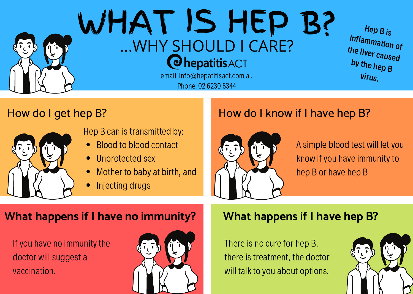

# How do I get hep B?



Hep B can is transmitted by:

- Blood to blood contact
- Unprotected sex
- Mother to baby at birth, and
- Injecting drugs

## How do I know if I have hep B?



A simple blood test will letyou know if you have immunity to hep B or have hep B

## **What happens if I have no immunity? What happens if I have hep B?**

If you have no immunity the doctor will suggest a vaccination.



There is no cure for hep B, there is treatment, the doctor will talk to you about options.